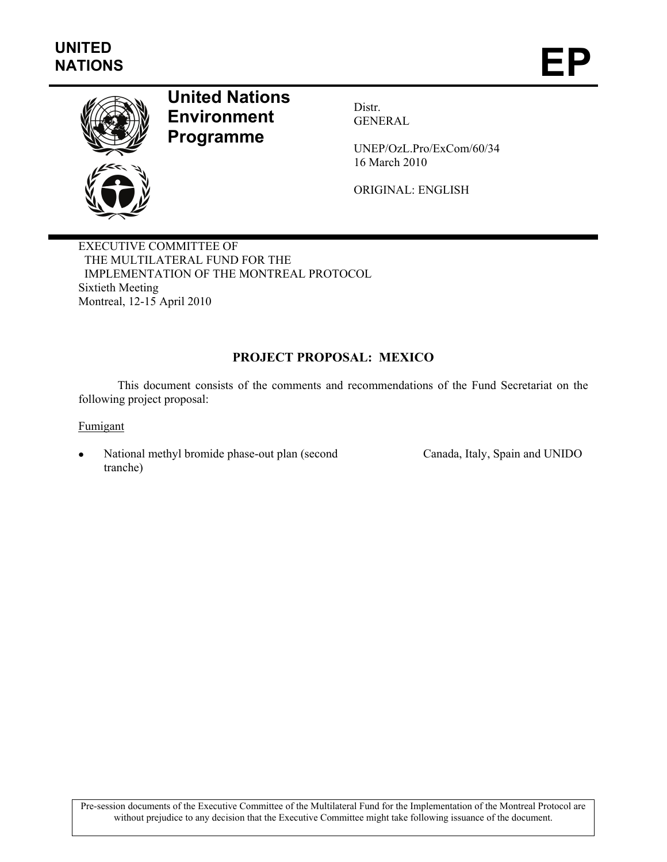

# **United Nations Environment Programme**

Distr. GENERAL

UNEP/OzL.Pro/ExCom/60/34 16 March 2010

ORIGINAL: ENGLISH

EXECUTIVE COMMITTEE OF THE MULTILATERAL FUND FOR THE IMPLEMENTATION OF THE MONTREAL PROTOCOL Sixtieth Meeting Montreal, 12-15 April 2010

# **PROJECT PROPOSAL: MEXICO**

This document consists of the comments and recommendations of the Fund Secretariat on the following project proposal:

Fumigant

National methyl bromide phase-out plan (second tranche)

Canada, Italy, Spain and UNIDO

Pre-session documents of the Executive Committee of the Multilateral Fund for the Implementation of the Montreal Protocol are without prejudice to any decision that the Executive Committee might take following issuance of the document.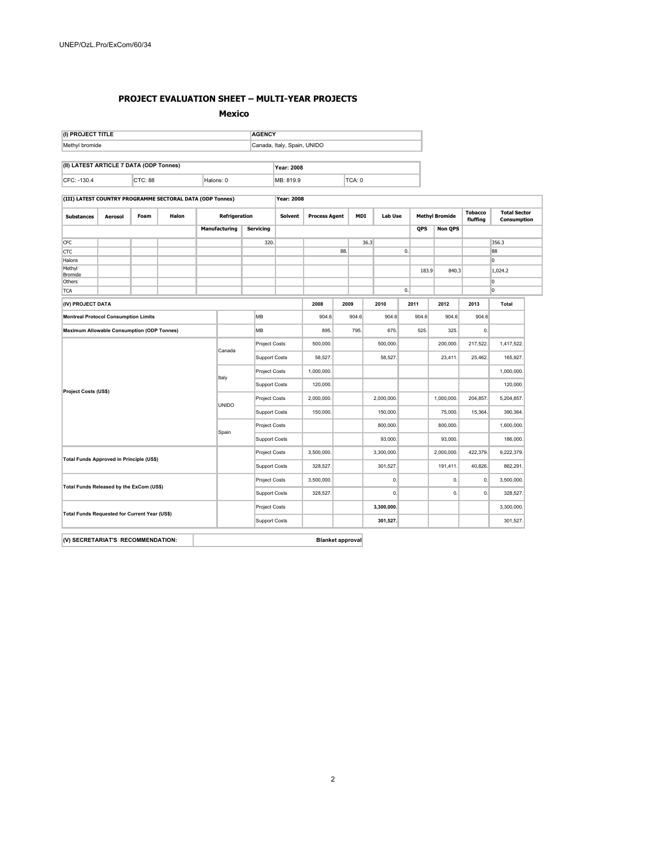#### **PROJECT EVALUATION SHEET – MULTI-YEAR PROJECTS**

**Mexico** 

| (I) PROJECT TITLE<br><b>AGENCY</b>                        |         |      |       |                      |                             |                      |                      |            |                             |            |                |            |                       |          |                                    |
|-----------------------------------------------------------|---------|------|-------|----------------------|-----------------------------|----------------------|----------------------|------------|-----------------------------|------------|----------------|------------|-----------------------|----------|------------------------------------|
| Methyl bromide                                            |         |      |       |                      | Canada, Italy, Spain, UNIDO |                      |                      |            |                             |            |                |            |                       |          |                                    |
| (II) LATEST ARTICLE 7 DATA (ODP Tonnes)                   |         |      |       |                      |                             |                      | <b>Year: 2008</b>    |            |                             |            |                |            |                       |          |                                    |
| CTC: 88<br>Halons: 0<br>CFC: -130.4                       |         |      |       |                      | TCA: 0<br>MB: 819.9         |                      |                      |            |                             |            |                |            |                       |          |                                    |
| (III) LATEST COUNTRY PROGRAMME SECTORAL DATA (ODP Tonnes) |         |      |       |                      | <b>Year: 2008</b>           |                      |                      |            |                             |            |                |            |                       |          |                                    |
| <b>Substances</b>                                         | Aerosol | Foam | Halon |                      | Refrigeration               |                      | Solvent              |            | <b>Process Agent</b><br>MDI |            | <b>Lab Use</b> |            | <b>Methyl Bromide</b> |          | <b>Total Sector</b><br>Consumption |
|                                                           |         |      |       |                      | <b>Manufacturing</b>        | Servicing            |                      |            |                             |            |                | QPS        | <b>Non QPS</b>        |          |                                    |
| CFC                                                       |         |      |       |                      |                             |                      | 320.                 |            |                             |            | 36.3           |            |                       |          | 356.3                              |
| <b>CTC</b>                                                |         |      |       |                      |                             |                      |                      |            | 88.                         |            |                | 0.         |                       |          | 88                                 |
| Halons                                                    |         |      |       |                      |                             |                      |                      |            |                             |            |                |            |                       |          | 0                                  |
| Methyl<br>Bromide                                         |         |      |       |                      |                             |                      |                      |            |                             |            |                | 183.9      | 840.3                 |          | 1,024.2                            |
| Others                                                    |         |      |       |                      |                             |                      |                      |            |                             |            |                |            |                       |          | 0                                  |
| <b>TCA</b>                                                |         |      |       |                      |                             |                      |                      |            |                             |            |                | 0.         |                       |          | $\overline{0}$                     |
| (IV) PROJECT DATA                                         |         |      |       |                      |                             |                      |                      | 2008       |                             | 2009       | 2010           | 2011       | 2012                  | 2013     | Total                              |
| <b>Montreal Protocol Consumption Limits</b>               |         |      |       | MB                   |                             | 904.6                |                      | 904.6      | 904.6                       | 904.6      | 904.6          | 904.6      |                       |          |                                    |
| <b>Maximum Allowable Consumption (ODP Tonnes)</b>         |         |      |       |                      |                             | MB                   |                      | 895        |                             | 795.       | 675.           | 525.       | 325                   | 0.       |                                    |
| Canada                                                    |         |      |       | Project Costs        | 500,000                     |                      |                      | 500,000.   |                             | 200,000    | 217,522.       | 1,417,522  |                       |          |                                    |
|                                                           |         |      |       |                      | <b>Support Costs</b>        | 58,527               |                      |            | 58,527.                     |            | 23,411.        | 25,462     | 165,927.              |          |                                    |
|                                                           |         |      |       |                      |                             |                      | Project Costs        | 1,000,000. |                             |            |                |            |                       |          | 1,000,000                          |
|                                                           |         |      |       |                      | Italy                       |                      | <b>Support Costs</b> | 120,000    |                             |            |                |            |                       |          | 120,000                            |
| Project Costs (US\$)                                      |         |      |       |                      |                             |                      | Project Costs        | 2,000,000. |                             |            | 2,000,000.     |            | 1,000,000             | 204,857  | 5,204,857                          |
|                                                           |         |      |       | <b>UNIDO</b>         |                             | <b>Support Costs</b> | 150,000.             |            |                             | 150,000.   |                | 75,000.    | 15,364.               | 390,364. |                                    |
|                                                           |         |      |       |                      |                             |                      | Project Costs        |            |                             |            | 800,000.       |            | 800,000.              |          | 1,600,000.                         |
| Spain                                                     |         |      |       |                      | <b>Support Costs</b>        |                      |                      |            |                             | 93,000.    |                | 93,000.    |                       | 186,000  |                                    |
| Total Funds Approved in Principle (US\$)                  |         |      |       | <b>Project Costs</b> | 3,500,000.                  |                      |                      | 3,300,000. |                             | 2,000,000. | 422,379.       | 9,222,379  |                       |          |                                    |
|                                                           |         |      |       | <b>Support Costs</b> | 328,527.                    |                      |                      | 301.527.   |                             | 191,411.   | 40,826.        | 862.291    |                       |          |                                    |
| Total Funds Released by the ExCom (US\$)                  |         |      |       | <b>Project Costs</b> | 3,500,000.                  |                      |                      | 0.         |                             | 0.         | 0.             | 3,500,000  |                       |          |                                    |
|                                                           |         |      |       | <b>Support Costs</b> | 328,527.                    |                      |                      | 0.         |                             | 0.         | $\mathbf{0}$   | 328,527    |                       |          |                                    |
| Total Funds Requested for Current Year (US\$)             |         |      |       | <b>Project Costs</b> |                             |                      |                      | 3,300,000. |                             |            |                | 3,300,000. |                       |          |                                    |
|                                                           |         |      |       |                      | <b>Support Costs</b>        |                      |                      |            | 301,527.                    |            |                |            | 301,527.              |          |                                    |
|                                                           |         |      |       |                      |                             |                      |                      |            |                             |            |                |            |                       |          |                                    |

**(V) SECRETARIAT'S RECOMMENDATION: Blanket approval**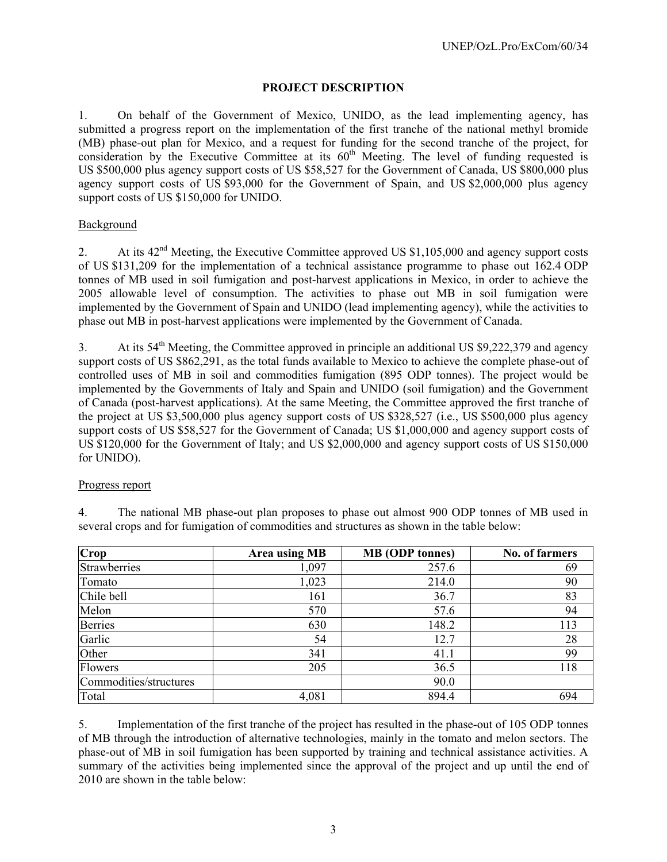# **PROJECT DESCRIPTION**

1. On behalf of the Government of Mexico, UNIDO, as the lead implementing agency, has submitted a progress report on the implementation of the first tranche of the national methyl bromide (MB) phase-out plan for Mexico, and a request for funding for the second tranche of the project, for consideration by the Executive Committee at its  $60<sup>th</sup>$  Meeting. The level of funding requested is US \$500,000 plus agency support costs of US \$58,527 for the Government of Canada, US \$800,000 plus agency support costs of US \$93,000 for the Government of Spain, and US \$2,000,000 plus agency support costs of US \$150,000 for UNIDO.

# Background

2. At its 42<sup>nd</sup> Meeting, the Executive Committee approved US \$1,105,000 and agency support costs of US \$131,209 for the implementation of a technical assistance programme to phase out 162.4 ODP tonnes of MB used in soil fumigation and post-harvest applications in Mexico, in order to achieve the 2005 allowable level of consumption. The activities to phase out MB in soil fumigation were implemented by the Government of Spain and UNIDO (lead implementing agency), while the activities to phase out MB in post-harvest applications were implemented by the Government of Canada.

3. At its  $54<sup>th</sup>$  Meeting, the Committee approved in principle an additional US \$9,222,379 and agency support costs of US \$862,291, as the total funds available to Mexico to achieve the complete phase-out of controlled uses of MB in soil and commodities fumigation (895 ODP tonnes). The project would be implemented by the Governments of Italy and Spain and UNIDO (soil fumigation) and the Government of Canada (post-harvest applications). At the same Meeting, the Committee approved the first tranche of the project at US \$3,500,000 plus agency support costs of US \$328,527 (i.e., US \$500,000 plus agency support costs of US \$58,527 for the Government of Canada; US \$1,000,000 and agency support costs of US \$120,000 for the Government of Italy; and US \$2,000,000 and agency support costs of US \$150,000 for UNIDO).

#### Progress report

4. The national MB phase-out plan proposes to phase out almost 900 ODP tonnes of MB used in several crops and for fumigation of commodities and structures as shown in the table below:

| Crop                   | <b>Area using MB</b> | <b>MB</b> (ODP tonnes) | No. of farmers |
|------------------------|----------------------|------------------------|----------------|
| Strawberries           | 1,097                | 257.6                  | 69             |
| Tomato                 | 1,023                | 214.0                  | 90             |
| Chile bell             | 161                  | 36.7                   | 83             |
| Melon                  | 570                  | 57.6                   | 94             |
| <b>Berries</b>         | 630                  | 148.2                  | 113            |
| Garlic                 | 54                   | 12.7                   | 28             |
| Other                  | 341                  | 41.1                   | 99             |
| Flowers                | 205                  | 36.5                   | 118            |
| Commodities/structures |                      | 90.0                   |                |
| Total                  | 4,081                | 894.4                  | 694            |

5. Implementation of the first tranche of the project has resulted in the phase-out of 105 ODP tonnes of MB through the introduction of alternative technologies, mainly in the tomato and melon sectors. The phase-out of MB in soil fumigation has been supported by training and technical assistance activities. A summary of the activities being implemented since the approval of the project and up until the end of 2010 are shown in the table below: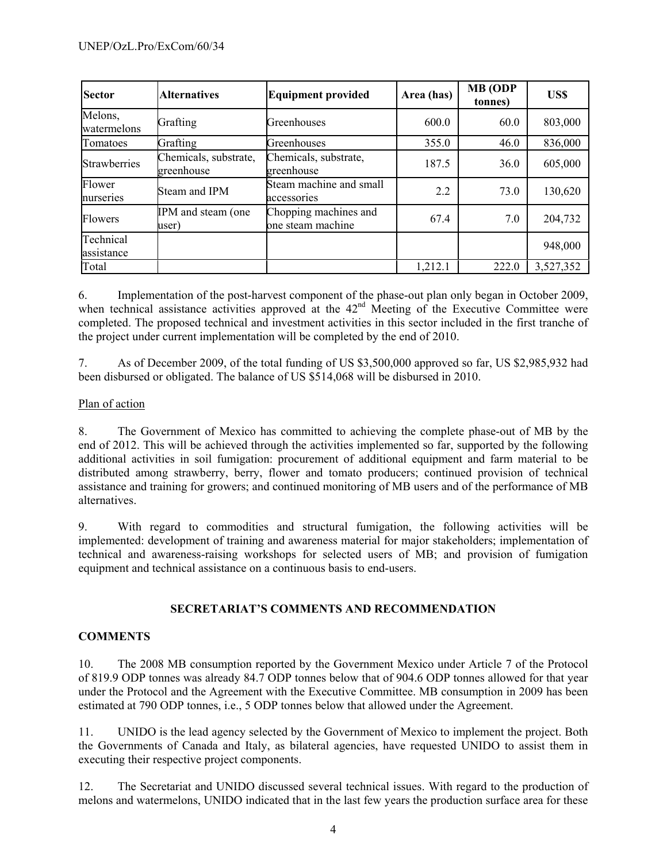| <b>Sector</b>           | <b>Alternatives</b>                 | <b>Equipment provided</b>                  | Area (has) | <b>MB</b> (ODP<br>tonnes) | US\$      |
|-------------------------|-------------------------------------|--------------------------------------------|------------|---------------------------|-----------|
| Melons,<br>watermelons  | Grafting                            | Greenhouses                                | 600.0      | 60.0                      | 803,000   |
| Tomatoes                | Grafting                            | Greenhouses                                | 355.0      | 46.0                      | 836,000   |
| Strawberries            | Chemicals, substrate,<br>greenhouse | Chemicals, substrate,<br>greenhouse        | 187.5      | 36.0                      | 605,000   |
| Flower<br>nurseries     | Steam and IPM                       | Steam machine and small<br>accessories     | 2.2        | 73.0                      | 130,620   |
| <b>Flowers</b>          | IPM and steam (one<br>user)         | Chopping machines and<br>one steam machine | 67.4       | 7.0                       | 204,732   |
| Technical<br>assistance |                                     |                                            |            |                           | 948,000   |
| Total                   |                                     |                                            | 1,212.1    | 222.0                     | 3,527,352 |

6. Implementation of the post-harvest component of the phase-out plan only began in October 2009, when technical assistance activities approved at the 42<sup>nd</sup> Meeting of the Executive Committee were completed. The proposed technical and investment activities in this sector included in the first tranche of the project under current implementation will be completed by the end of 2010.

7. As of December 2009, of the total funding of US \$3,500,000 approved so far, US \$2,985,932 had been disbursed or obligated. The balance of US \$514,068 will be disbursed in 2010.

# Plan of action

8. The Government of Mexico has committed to achieving the complete phase-out of MB by the end of 2012. This will be achieved through the activities implemented so far, supported by the following additional activities in soil fumigation: procurement of additional equipment and farm material to be distributed among strawberry, berry, flower and tomato producers; continued provision of technical assistance and training for growers; and continued monitoring of MB users and of the performance of MB alternatives.

9. With regard to commodities and structural fumigation, the following activities will be implemented: development of training and awareness material for major stakeholders; implementation of technical and awareness-raising workshops for selected users of MB; and provision of fumigation equipment and technical assistance on a continuous basis to end-users.

# **SECRETARIAT'S COMMENTS AND RECOMMENDATION**

#### **COMMENTS**

10. The 2008 MB consumption reported by the Government Mexico under Article 7 of the Protocol of 819.9 ODP tonnes was already 84.7 ODP tonnes below that of 904.6 ODP tonnes allowed for that year under the Protocol and the Agreement with the Executive Committee. MB consumption in 2009 has been estimated at 790 ODP tonnes, i.e., 5 ODP tonnes below that allowed under the Agreement.

11. UNIDO is the lead agency selected by the Government of Mexico to implement the project. Both the Governments of Canada and Italy, as bilateral agencies, have requested UNIDO to assist them in executing their respective project components.

12. The Secretariat and UNIDO discussed several technical issues. With regard to the production of melons and watermelons, UNIDO indicated that in the last few years the production surface area for these